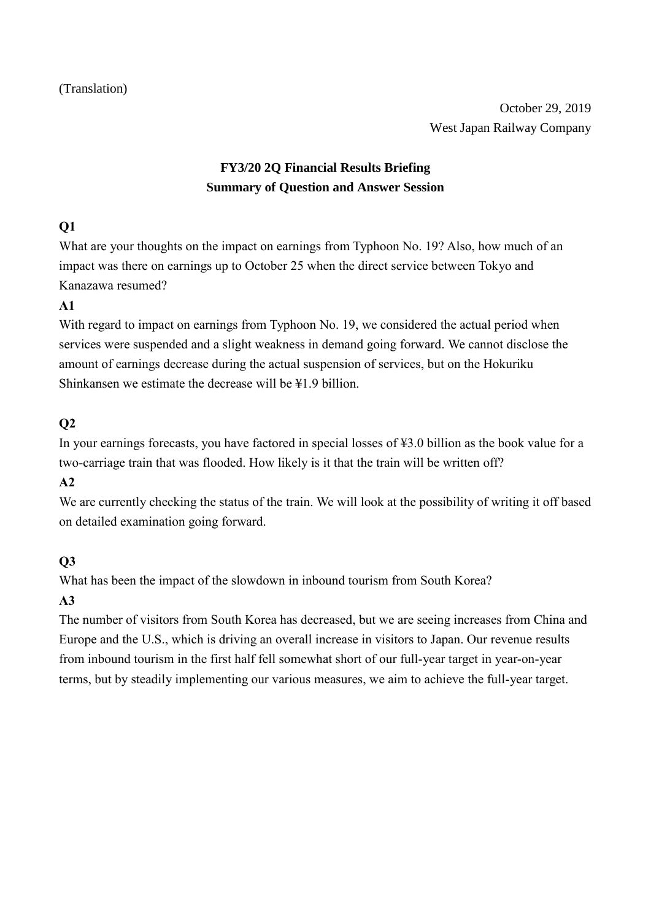# **FY3/20 2Q Financial Results Briefing Summary of Question and Answer Session**

#### **Q1**

What are your thoughts on the impact on earnings from Typhoon No. 19? Also, how much of an impact was there on earnings up to October 25 when the direct service between Tokyo and Kanazawa resumed?

#### **A1**

With regard to impact on earnings from Typhoon No. 19, we considered the actual period when services were suspended and a slight weakness in demand going forward. We cannot disclose the amount of earnings decrease during the actual suspension of services, but on the Hokuriku Shinkansen we estimate the decrease will be ¥1.9 billion.

### **Q2**

In your earnings forecasts, you have factored in special losses of ¥3.0 billion as the book value for a two-carriage train that was flooded. How likely is it that the train will be written off?

#### **A2**

We are currently checking the status of the train. We will look at the possibility of writing it off based on detailed examination going forward.

### **Q3**

What has been the impact of the slowdown in inbound tourism from South Korea?

### **A3**

The number of visitors from South Korea has decreased, but we are seeing increases from China and Europe and the U.S., which is driving an overall increase in visitors to Japan. Our revenue results from inbound tourism in the first half fell somewhat short of our full-year target in year-on-year terms, but by steadily implementing our various measures, we aim to achieve the full-year target.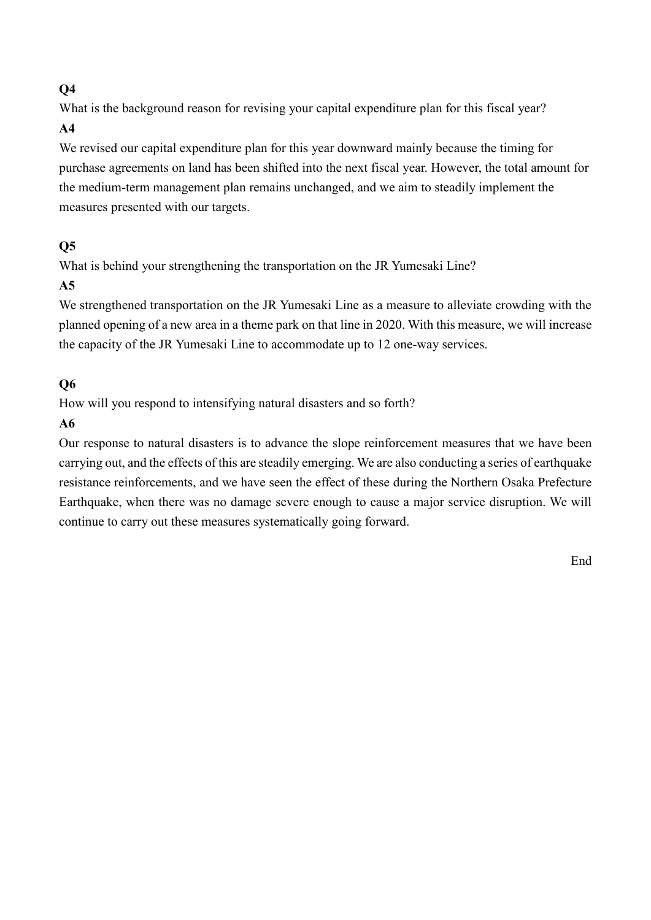# **Q4**

What is the background reason for revising your capital expenditure plan for this fiscal year? **A4**

We revised our capital expenditure plan for this year downward mainly because the timing for purchase agreements on land has been shifted into the next fiscal year. However, the total amount for the medium-term management plan remains unchanged, and we aim to steadily implement the measures presented with our targets.

### **Q5**

What is behind your strengthening the transportation on the JR Yumesaki Line?

# **A5**

We strengthened transportation on the JR Yumesaki Line as a measure to alleviate crowding with the planned opening of a new area in a theme park on that line in 2020. With this measure, we will increase the capacity of the JR Yumesaki Line to accommodate up to 12 one-way services.

# **Q6**

How will you respond to intensifying natural disasters and so forth?

# **A6**

Our response to natural disasters is to advance the slope reinforcement measures that we have been carrying out, and the effects of this are steadily emerging. We are also conducting a series of earthquake resistance reinforcements, and we have seen the effect of these during the Northern Osaka Prefecture Earthquake, when there was no damage severe enough to cause a major service disruption. We will continue to carry out these measures systematically going forward.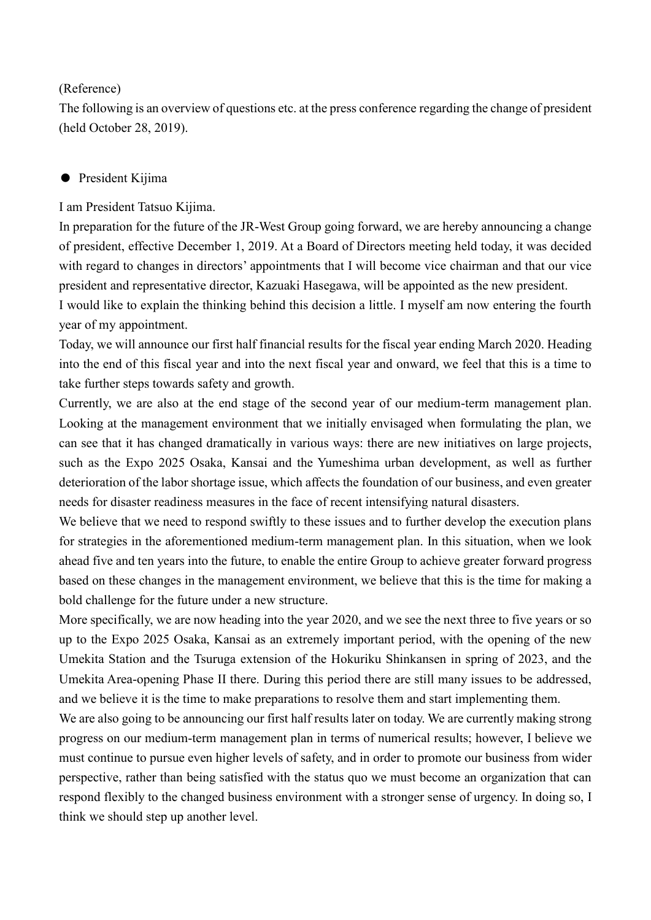#### (Reference)

The following is an overview of questions etc. at the press conference regarding the change of president (held October 28, 2019).

#### ● President Kijima

I am President Tatsuo Kijima.

In preparation for the future of the JR-West Group going forward, we are hereby announcing a change of president, effective December 1, 2019. At a Board of Directors meeting held today, it was decided with regard to changes in directors' appointments that I will become vice chairman and that our vice president and representative director, Kazuaki Hasegawa, will be appointed as the new president.

I would like to explain the thinking behind this decision a little. I myself am now entering the fourth year of my appointment.

Today, we will announce our first half financial results for the fiscal year ending March 2020. Heading into the end of this fiscal year and into the next fiscal year and onward, we feel that this is a time to take further steps towards safety and growth.

Currently, we are also at the end stage of the second year of our medium-term management plan. Looking at the management environment that we initially envisaged when formulating the plan, we can see that it has changed dramatically in various ways: there are new initiatives on large projects, such as the Expo 2025 Osaka, Kansai and the Yumeshima urban development, as well as further deterioration of the labor shortage issue, which affects the foundation of our business, and even greater needs for disaster readiness measures in the face of recent intensifying natural disasters.

We believe that we need to respond swiftly to these issues and to further develop the execution plans for strategies in the aforementioned medium-term management plan. In this situation, when we look ahead five and ten years into the future, to enable the entire Group to achieve greater forward progress based on these changes in the management environment, we believe that this is the time for making a bold challenge for the future under a new structure.

More specifically, we are now heading into the year 2020, and we see the next three to five years or so up to the Expo 2025 Osaka, Kansai as an extremely important period, with the opening of the new Umekita Station and the Tsuruga extension of the Hokuriku Shinkansen in spring of 2023, and the Umekita Area-opening Phase II there. During this period there are still many issues to be addressed, and we believe it is the time to make preparations to resolve them and start implementing them.

We are also going to be announcing our first half results later on today. We are currently making strong progress on our medium-term management plan in terms of numerical results; however, I believe we must continue to pursue even higher levels of safety, and in order to promote our business from wider perspective, rather than being satisfied with the status quo we must become an organization that can respond flexibly to the changed business environment with a stronger sense of urgency. In doing so, I think we should step up another level.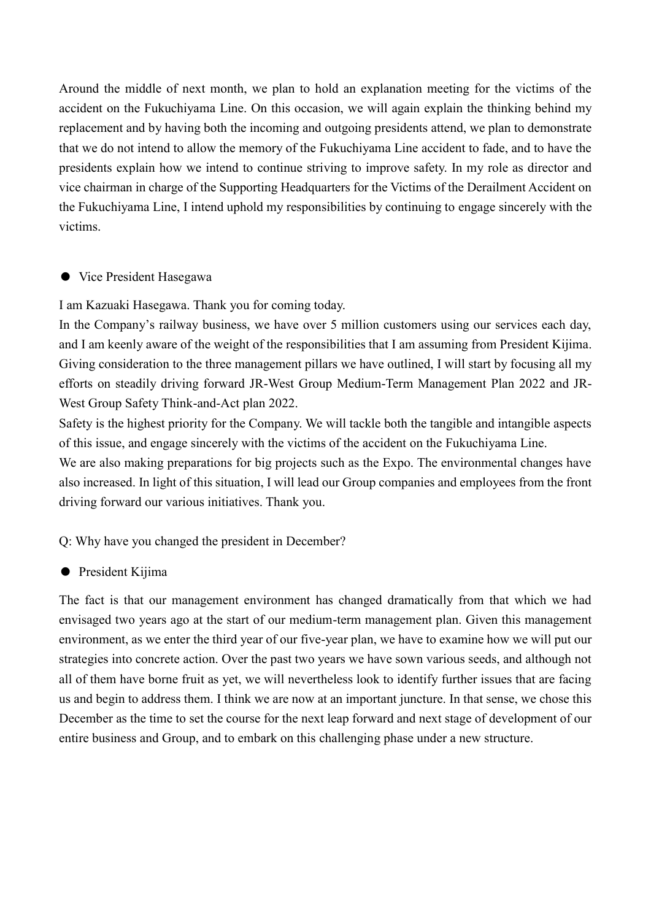Around the middle of next month, we plan to hold an explanation meeting for the victims of the accident on the Fukuchiyama Line. On this occasion, we will again explain the thinking behind my replacement and by having both the incoming and outgoing presidents attend, we plan to demonstrate that we do not intend to allow the memory of the Fukuchiyama Line accident to fade, and to have the presidents explain how we intend to continue striving to improve safety. In my role as director and vice chairman in charge of the Supporting Headquarters for the Victims of the Derailment Accident on the Fukuchiyama Line, I intend uphold my responsibilities by continuing to engage sincerely with the victims.

#### ● Vice President Hasegawa

I am Kazuaki Hasegawa. Thank you for coming today.

In the Company's railway business, we have over 5 million customers using our services each day, and I am keenly aware of the weight of the responsibilities that I am assuming from President Kijima. Giving consideration to the three management pillars we have outlined, I will start by focusing all my efforts on steadily driving forward JR-West Group Medium-Term Management Plan 2022 and JR-West Group Safety Think-and-Act plan 2022.

Safety is the highest priority for the Company. We will tackle both the tangible and intangible aspects of this issue, and engage sincerely with the victims of the accident on the Fukuchiyama Line.

We are also making preparations for big projects such as the Expo. The environmental changes have also increased. In light of this situation, I will lead our Group companies and employees from the front driving forward our various initiatives. Thank you.

Q: Why have you changed the president in December?

● President Kijima

The fact is that our management environment has changed dramatically from that which we had envisaged two years ago at the start of our medium-term management plan. Given this management environment, as we enter the third year of our five-year plan, we have to examine how we will put our strategies into concrete action. Over the past two years we have sown various seeds, and although not all of them have borne fruit as yet, we will nevertheless look to identify further issues that are facing us and begin to address them. I think we are now at an important juncture. In that sense, we chose this December as the time to set the course for the next leap forward and next stage of development of our entire business and Group, and to embark on this challenging phase under a new structure.